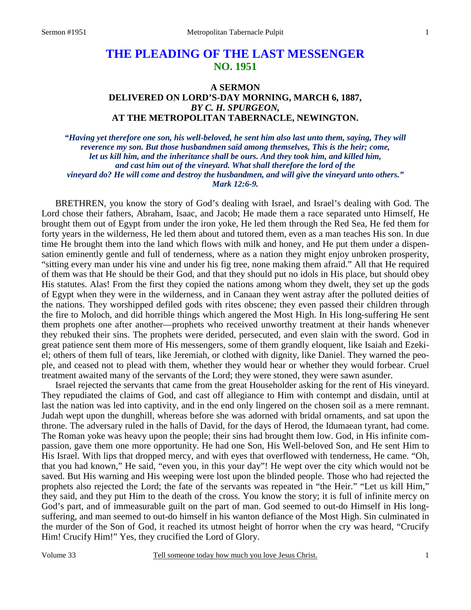# **THE PLEADING OF THE LAST MESSENGER NO. 1951**

## **A SERMON DELIVERED ON LORD'S-DAY MORNING, MARCH 6, 1887,**  *BY C. H. SPURGEON,*  **AT THE METROPOLITAN TABERNACLE, NEWINGTON.**

*"Having yet therefore one son, his well-beloved, he sent him also last unto them, saying, They will reverence my son. But those husbandmen said among themselves, This is the heir; come, let us kill him, and the inheritance shall be ours. And they took him, and killed him, and cast him out of the vineyard. What shall therefore the lord of the vineyard do? He will come and destroy the husbandmen, and will give the vineyard unto others." Mark 12:6-9.* 

BRETHREN, you know the story of God's dealing with Israel, and Israel's dealing with God. The Lord chose their fathers, Abraham, Isaac, and Jacob; He made them a race separated unto Himself, He brought them out of Egypt from under the iron yoke, He led them through the Red Sea, He fed them for forty years in the wilderness, He led them about and tutored them, even as a man teaches His son. In due time He brought them into the land which flows with milk and honey, and He put them under a dispensation eminently gentle and full of tenderness, where as a nation they might enjoy unbroken prosperity, "sitting every man under his vine and under his fig tree, none making them afraid." All that He required of them was that He should be their God, and that they should put no idols in His place, but should obey His statutes. Alas! From the first they copied the nations among whom they dwelt, they set up the gods of Egypt when they were in the wilderness, and in Canaan they went astray after the polluted deities of the nations. They worshipped defiled gods with rites obscene; they even passed their children through the fire to Moloch, and did horrible things which angered the Most High. In His long-suffering He sent them prophets one after another—prophets who received unworthy treatment at their hands whenever they rebuked their sins. The prophets were derided, persecuted, and even slain with the sword. God in great patience sent them more of His messengers, some of them grandly eloquent, like Isaiah and Ezekiel; others of them full of tears, like Jeremiah, or clothed with dignity, like Daniel. They warned the people, and ceased not to plead with them, whether they would hear or whether they would forbear. Cruel treatment awaited many of the servants of the Lord; they were stoned, they were sawn asunder.

Israel rejected the servants that came from the great Householder asking for the rent of His vineyard. They repudiated the claims of God, and cast off allegiance to Him with contempt and disdain, until at last the nation was led into captivity, and in the end only lingered on the chosen soil as a mere remnant. Judah wept upon the dunghill, whereas before she was adorned with bridal ornaments, and sat upon the throne. The adversary ruled in the halls of David, for the days of Herod, the Idumaean tyrant, had come. The Roman yoke was heavy upon the people; their sins had brought them low. God, in His infinite compassion, gave them one more opportunity. He had one Son, His Well-beloved Son, and He sent Him to His Israel. With lips that dropped mercy, and with eyes that overflowed with tenderness, He came. "Oh, that you had known," He said, "even you, in this your day"! He wept over the city which would not be saved. But His warning and His weeping were lost upon the blinded people. Those who had rejected the prophets also rejected the Lord; the fate of the servants was repeated in "the Heir." "Let us kill Him," they said, and they put Him to the death of the cross. You know the story; it is full of infinite mercy on God's part, and of immeasurable guilt on the part of man. God seemed to out-do Himself in His longsuffering, and man seemed to out-do himself in his wanton defiance of the Most High. Sin culminated in the murder of the Son of God, it reached its utmost height of horror when the cry was heard, "Crucify Him! Crucify Him!" Yes, they crucified the Lord of Glory.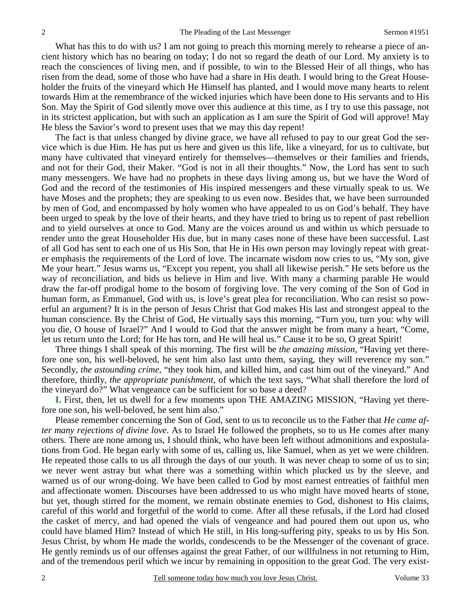What has this to do with us? I am not going to preach this morning merely to rehearse a piece of ancient history which has no bearing on today; I do not so regard the death of our Lord. My anxiety is to reach the consciences of living men, and if possible, to win to the Blessed Heir of all things, who has risen from the dead, some of those who have had a share in His death. I would bring to the Great Householder the fruits of the vineyard which He Himself has planted, and I would move many hearts to relent towards Him at the remembrance of the wicked injuries which have been done to His servants and to His Son. May the Spirit of God silently move over this audience at this time, as I try to use this passage, not in its strictest application, but with such an application as I am sure the Spirit of God will approve! May He bless the Savior's word to present uses that we may this day repent!

The fact is that unless changed by divine grace, we have all refused to pay to our great God the service which is due Him. He has put us here and given us this life, like a vineyard, for us to cultivate, but many have cultivated that vineyard entirely for themselves—themselves or their families and friends, and not for their God, their Maker. "God is not in all their thoughts." Now, the Lord has sent to such many messengers. We have had no prophets in these days living among us, but we have the Word of God and the record of the testimonies of His inspired messengers and these virtually speak to us. We have Moses and the prophets; they are speaking to us even now. Besides that, we have been surrounded by men of God, and encompassed by holy women who have appealed to us on God's behalf. They have been urged to speak by the love of their hearts, and they have tried to bring us to repent of past rebellion and to yield ourselves at once to God. Many are the voices around us and within us which persuade to render unto the great Householder His due, but in many cases none of these have been successful. Last of all God has sent to each one of us His Son, that He in His own person may lovingly repeat with greater emphasis the requirements of the Lord of love. The incarnate wisdom now cries to us, "My son, give Me your heart." Jesus warns us, "Except you repent, you shall all likewise perish." He sets before us the way of reconciliation, and bids us believe in Him and live. With many a charming parable He would draw the far-off prodigal home to the bosom of forgiving love. The very coming of the Son of God in human form, as Emmanuel, God with us, is love's great plea for reconciliation. Who can resist so powerful an argument? It is in the person of Jesus Christ that God makes His last and strongest appeal to the human conscience. By the Christ of God, He virtually says this morning, "Turn you, turn you: why will you die, O house of Israel?" And I would to God that the answer might be from many a heart, "Come, let us return unto the Lord; for He has torn, and He will heal us." Cause it to be so, O great Spirit!

Three things I shall speak of this morning. The first will be *the amazing mission,* "Having yet therefore one son, his well-beloved, he sent him also last unto them, saying, they will reverence my son." Secondly, *the astounding crime,* "they took him, and killed him, and cast him out of the vineyard." And therefore, thirdly, *the appropriate punishment,* of which the text says, "What shall therefore the lord of the vineyard do?" What vengeance can be sufficient for so base a deed?

**I.** First, then, let us dwell for a few moments upon THE AMAZING MISSION, "Having yet therefore one son, his well-beloved, he sent him also."

Please remember concerning the Son of God, sent to us to reconcile us to the Father that *He came after many rejections of divine love*. As to Israel He followed the prophets, so to us He comes after many others. There are none among us, I should think, who have been left without admonitions and expostulations from God. He began early with some of us, calling us, like Samuel, when as yet we were children. He repeated those calls to us all through the days of our youth. It was never cheap to some of us to sin; we never went astray but what there was a something within which plucked us by the sleeve, and warned us of our wrong-doing. We have been called to God by most earnest entreaties of faithful men and affectionate women. Discourses have been addressed to us who might have moved hearts of stone, but yet, though stirred for the moment, we remain obstinate enemies to God, dishonest to His claims, careful of this world and forgetful of the world to come. After all these refusals, if the Lord had closed the casket of mercy, and had opened the vials of vengeance and had poured them out upon us, who could have blamed Him? Instead of which He still, in His long-suffering pity, speaks to us by His Son. Jesus Christ, by whom He made the worlds, condescends to be the Messenger of the covenant of grace. He gently reminds us of our offenses against the great Father, of our willfulness in not returning to Him, and of the tremendous peril which we incur by remaining in opposition to the great God. The very exist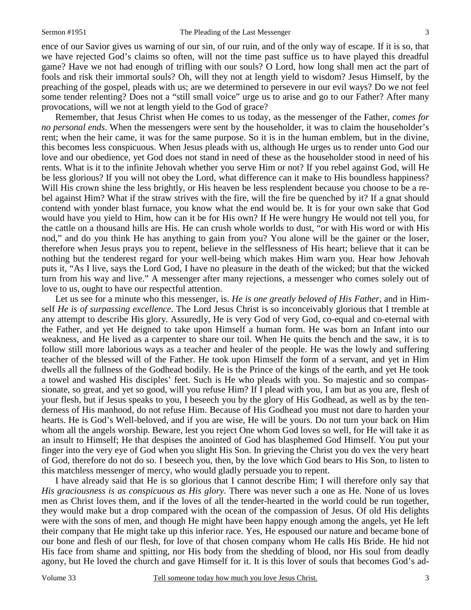ence of our Savior gives us warning of our sin, of our ruin, and of the only way of escape. If it is so, that we have rejected God's claims so often, will not the time past suffice us to have played this dreadful game? Have we not had enough of trifling with our souls? O Lord, how long shall men act the part of fools and risk their immortal souls? Oh, will they not at length yield to wisdom? Jesus Himself, by the preaching of the gospel, pleads with us; are we determined to persevere in our evil ways? Do we not feel some tender relenting? Does not a "still small voice" urge us to arise and go to our Father? After many provocations, will we not at length yield to the God of grace?

Remember, that Jesus Christ when He comes to us today, as the messenger of the Father, *comes for no personal ends*. When the messengers were sent by the householder, it was to claim the householder's rent; when the heir came, it was for the same purpose. So it is in the human emblem, but in the divine, this becomes less conspicuous. When Jesus pleads with us, although He urges us to render unto God our love and our obedience, yet God does not stand in need of these as the householder stood in need of his rents. What is it to the infinite Jehovah whether you serve Him or not? If you rebel against God, will He be less glorious? If you will not obey the Lord, what difference can it make to His boundless happiness? Will His crown shine the less brightly, or His heaven be less resplendent because you choose to be a rebel against Him? What if the straw strives with the fire, will the fire be quenched by it? If a gnat should contend with yonder blast furnace, you know what the end would be. It is for your own sake that God would have you yield to Him, how can it be for His own? If He were hungry He would not tell you, for the cattle on a thousand hills are His. He can crush whole worlds to dust, "or with His word or with His nod," and do you think He has anything to gain from you? You alone will be the gainer or the loser, therefore when Jesus prays you to repent, believe in the selflessness of His heart; believe that it can be nothing but the tenderest regard for your well-being which makes Him warn you. Hear how Jehovah puts it, "As I live, says the Lord God, I have no pleasure in the death of the wicked; but that the wicked turn from his way and live." A messenger after many rejections, a messenger who comes solely out of love to us, ought to have our respectful attention.

Let us see for a minute who this messenger, is. *He is one greatly beloved of His Father,* and in Himself *He is of surpassing excellence*. The Lord Jesus Christ is so inconceivably glorious that I tremble at any attempt to describe His glory. Assuredly, He is very God of very God, co-equal and co-eternal with the Father, and yet He deigned to take upon Himself a human form. He was born an Infant into our weakness, and He lived as a carpenter to share our toil. When He quits the bench and the saw, it is to follow still more laborious ways as a teacher and healer of the people. He was the lowly and suffering teacher of the blessed will of the Father. He took upon Himself the form of a servant, and yet in Him dwells all the fullness of the Godhead bodily. He is the Prince of the kings of the earth, and yet He took a towel and washed His disciples' feet. Such is He who pleads with you. So majestic and so compassionate, so great, and yet so good, will you refuse Him? If I plead with you, I am but as you are, flesh of your flesh, but if Jesus speaks to you, I beseech you by the glory of His Godhead, as well as by the tenderness of His manhood, do not refuse Him. Because of His Godhead you must not dare to harden your hearts. He is God's Well-beloved, and if you are wise, He will be yours. Do not turn your back on Him whom all the angels worship. Beware, lest you reject One whom God loves so well, for He will take it as an insult to Himself; He that despises the anointed of God has blasphemed God Himself. You put your finger into the very eye of God when you slight His Son. In grieving the Christ you do vex the very heart of God, therefore do not do so. I beseech you, then, by the love which God bears to His Son, to listen to this matchless messenger of mercy, who would gladly persuade you to repent.

I have already said that He is so glorious that I cannot describe Him; I will therefore only say that *His graciousness is as conspicuous as His glory*. There was never such a one as He. None of us loves men as Christ loves them, and if the loves of all the tender-hearted in the world could be run together, they would make but a drop compared with the ocean of the compassion of Jesus. Of old His delights were with the sons of men, and though He might have been happy enough among the angels, yet He left their company that He might take up this inferior race. Yes, He espoused our nature and became bone of our bone and flesh of our flesh, for love of that chosen company whom He calls His Bride. He hid not His face from shame and spitting, nor His body from the shedding of blood, nor His soul from deadly agony, but He loved the church and gave Himself for it. It is this lover of souls that becomes God's ad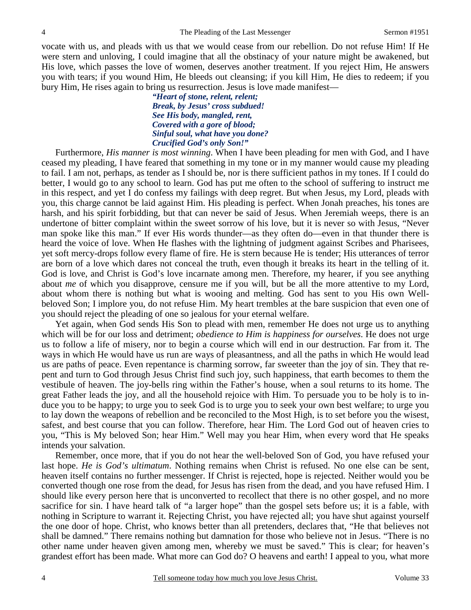vocate with us, and pleads with us that we would cease from our rebellion. Do not refuse Him! If He were stern and unloving, I could imagine that all the obstinacy of your nature might be awakened, but His love, which passes the love of women, deserves another treatment. If you reject Him, He answers you with tears; if you wound Him, He bleeds out cleansing; if you kill Him, He dies to redeem; if you bury Him, He rises again to bring us resurrection. Jesus is love made manifest—

> *"Heart of stone, relent, relent; Break, by Jesus' cross subdued! See His body, mangled, rent, Covered with a gore of blood; Sinful soul, what have you done? Crucified God's only Son!"*

Furthermore, *His manner is most winning*. When I have been pleading for men with God, and I have ceased my pleading, I have feared that something in my tone or in my manner would cause my pleading to fail. I am not, perhaps, as tender as I should be, nor is there sufficient pathos in my tones. If I could do better, I would go to any school to learn. God has put me often to the school of suffering to instruct me in this respect, and yet I do confess my failings with deep regret. But when Jesus, my Lord, pleads with you, this charge cannot be laid against Him. His pleading is perfect. When Jonah preaches, his tones are harsh, and his spirit forbidding, but that can never be said of Jesus. When Jeremiah weeps, there is an undertone of bitter complaint within the sweet sorrow of his love, but it is never so with Jesus, "Never man spoke like this man." If ever His words thunder—as they often do—even in that thunder there is heard the voice of love. When He flashes with the lightning of judgment against Scribes and Pharisees, yet soft mercy-drops follow every flame of fire. He is stern because He is tender; His utterances of terror are born of a love which dares not conceal the truth, even though it breaks its heart in the telling of it. God is love, and Christ is God's love incarnate among men. Therefore, my hearer, if you see anything about *me* of which you disapprove, censure me if you will, but be all the more attentive to my Lord, about whom there is nothing but what is wooing and melting. God has sent to you His own Wellbeloved Son; I implore you, do not refuse Him. My heart trembles at the bare suspicion that even one of you should reject the pleading of one so jealous for your eternal welfare.

Yet again, when God sends His Son to plead with men, remember He does not urge us to anything which will be for our loss and detriment; *obedience to Him is happiness for ourselves*. He does not urge us to follow a life of misery, nor to begin a course which will end in our destruction. Far from it. The ways in which He would have us run are ways of pleasantness, and all the paths in which He would lead us are paths of peace. Even repentance is charming sorrow, far sweeter than the joy of sin. They that repent and turn to God through Jesus Christ find such joy, such happiness, that earth becomes to them the vestibule of heaven. The joy-bells ring within the Father's house, when a soul returns to its home. The great Father leads the joy, and all the household rejoice with Him. To persuade you to be holy is to induce you to be happy; to urge you to seek God is to urge you to seek your own best welfare; to urge you to lay down the weapons of rebellion and be reconciled to the Most High, is to set before you the wisest, safest, and best course that you can follow. Therefore, hear Him. The Lord God out of heaven cries to you, "This is My beloved Son; hear Him." Well may you hear Him, when every word that He speaks intends your salvation.

Remember, once more, that if you do not hear the well-beloved Son of God, you have refused your last hope. *He is God's ultimatum*. Nothing remains when Christ is refused. No one else can be sent, heaven itself contains no further messenger. If Christ is rejected, hope is rejected. Neither would you be converted though one rose from the dead, for Jesus has risen from the dead, and you have refused Him. I should like every person here that is unconverted to recollect that there is no other gospel, and no more sacrifice for sin. I have heard talk of "a larger hope" than the gospel sets before us; it is a fable, with nothing in Scripture to warrant it. Rejecting Christ, you have rejected all; you have shut against yourself the one door of hope. Christ, who knows better than all pretenders, declares that, "He that believes not shall be damned." There remains nothing but damnation for those who believe not in Jesus. "There is no other name under heaven given among men, whereby we must be saved." This is clear; for heaven's grandest effort has been made. What more can God do? O heavens and earth! I appeal to you, what more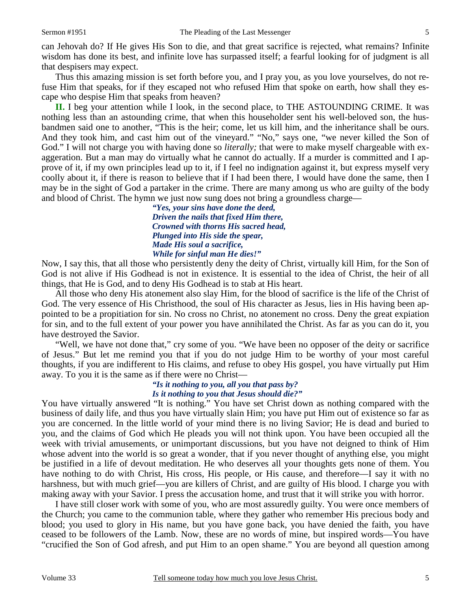can Jehovah do? If He gives His Son to die, and that great sacrifice is rejected, what remains? Infinite wisdom has done its best, and infinite love has surpassed itself; a fearful looking for of judgment is all that despisers may expect.

Thus this amazing mission is set forth before you, and I pray you, as you love yourselves, do not refuse Him that speaks, for if they escaped not who refused Him that spoke on earth, how shall they escape who despise Him that speaks from heaven?

**II.** I beg your attention while I look, in the second place, to THE ASTOUNDING CRIME. It was nothing less than an astounding crime, that when this householder sent his well-beloved son, the husbandmen said one to another, "This is the heir; come, let us kill him, and the inheritance shall be ours. And they took him, and cast him out of the vineyard." "No," says one, "we never killed the Son of God." I will not charge you with having done so *literally*; that were to make myself chargeable with exaggeration. But a man may do virtually what he cannot do actually. If a murder is committed and I approve of it, if my own principles lead up to it, if I feel no indignation against it, but express myself very coolly about it, if there is reason to believe that if I had been there, I would have done the same, then I may be in the sight of God a partaker in the crime. There are many among us who are guilty of the body and blood of Christ. The hymn we just now sung does not bring a groundless charge—

> *"Yes, your sins have done the deed, Driven the nails that fixed Him there, Crowned with thorns His sacred head, Plunged into His side the spear, Made His soul a sacrifice, While for sinful man He dies!"*

Now, I say this, that all those who persistently deny the deity of Christ, virtually kill Him, for the Son of God is not alive if His Godhead is not in existence. It is essential to the idea of Christ, the heir of all things, that He is God, and to deny His Godhead is to stab at His heart.

All those who deny His atonement also slay Him, for the blood of sacrifice is the life of the Christ of God. The very essence of His Christhood, the soul of His character as Jesus, lies in His having been appointed to be a propitiation for sin. No cross no Christ, no atonement no cross. Deny the great expiation for sin, and to the full extent of your power you have annihilated the Christ. As far as you can do it, you have destroyed the Savior.

"Well, we have not done that," cry some of you. "We have been no opposer of the deity or sacrifice of Jesus." But let me remind you that if you do not judge Him to be worthy of your most careful thoughts, if you are indifferent to His claims, and refuse to obey His gospel, you have virtually put Him away. To you it is the same as if there were no Christ—

## *"Is it nothing to you, all you that pass by?*

#### *Is it nothing to you that Jesus should die?"*

You have virtually answered "It is nothing." You have set Christ down as nothing compared with the business of daily life, and thus you have virtually slain Him; you have put Him out of existence so far as you are concerned. In the little world of your mind there is no living Savior; He is dead and buried to you, and the claims of God which He pleads you will not think upon. You have been occupied all the week with trivial amusements, or unimportant discussions, but you have not deigned to think of Him whose advent into the world is so great a wonder, that if you never thought of anything else, you might be justified in a life of devout meditation. He who deserves all your thoughts gets none of them. You have nothing to do with Christ, His cross, His people, or His cause, and therefore—I say it with no harshness, but with much grief—you are killers of Christ, and are guilty of His blood. I charge you with making away with your Savior. I press the accusation home, and trust that it will strike you with horror.

I have still closer work with some of you, who are most assuredly guilty. You were once members of the Church; you came to the communion table, where they gather who remember His precious body and blood; you used to glory in His name, but you have gone back, you have denied the faith, you have ceased to be followers of the Lamb. Now, these are no words of mine, but inspired words—You have "crucified the Son of God afresh, and put Him to an open shame." You are beyond all question among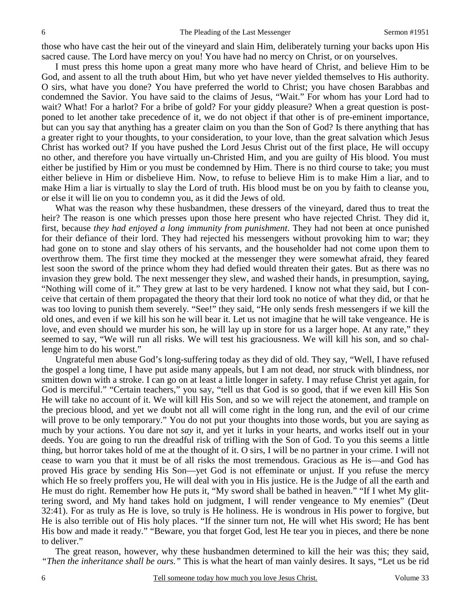those who have cast the heir out of the vineyard and slain Him, deliberately turning your backs upon His sacred cause. The Lord have mercy on you! You have had no mercy on Christ, or on yourselves.

I must press this home upon a great many more who have heard of Christ, and believe Him to be God, and assent to all the truth about Him, but who yet have never yielded themselves to His authority. O sirs, what have you done? You have preferred the world to Christ; you have chosen Barabbas and condemned the Savior. You have said to the claims of Jesus, "Wait." For whom has your Lord had to wait? What! For a harlot? For a bribe of gold? For your giddy pleasure? When a great question is postponed to let another take precedence of it, we do not object if that other is of pre-eminent importance, but can you say that anything has a greater claim on you than the Son of God? Is there anything that has a greater right to your thoughts, to your consideration, to your love, than the great salvation which Jesus Christ has worked out? If you have pushed the Lord Jesus Christ out of the first place, He will occupy no other, and therefore you have virtually un-Christed Him, and you are guilty of His blood. You must either be justified by Him or you must be condemned by Him. There is no third course to take; you must either believe in Him or disbelieve Him. Now, to refuse to believe Him is to make Him a liar, and to make Him a liar is virtually to slay the Lord of truth. His blood must be on you by faith to cleanse you, or else it will lie on you to condemn you, as it did the Jews of old.

What was the reason why these husbandmen, these dressers of the vineyard, dared thus to treat the heir? The reason is one which presses upon those here present who have rejected Christ. They did it, first, because *they had enjoyed a long immunity from punishment*. They had not been at once punished for their defiance of their lord. They had rejected his messengers without provoking him to war; they had gone on to stone and slay others of his servants, and the householder had not come upon them to overthrow them. The first time they mocked at the messenger they were somewhat afraid, they feared lest soon the sword of the prince whom they had defied would threaten their gates. But as there was no invasion they grew bold. The next messenger they slew, and washed their hands, in presumption, saying, "Nothing will come of it." They grew at last to be very hardened. I know not what they said, but I conceive that certain of them propagated the theory that their lord took no notice of what they did, or that he was too loving to punish them severely. "See!" they said, "He only sends fresh messengers if we kill the old ones, and even if we kill his son he will bear it. Let us not imagine that he will take vengeance. He is love, and even should we murder his son, he will lay up in store for us a larger hope. At any rate," they seemed to say, "We will run all risks. We will test his graciousness. We will kill his son, and so challenge him to do his worst."

Ungrateful men abuse God's long-suffering today as they did of old. They say, "Well, I have refused the gospel a long time, I have put aside many appeals, but I am not dead, nor struck with blindness, nor smitten down with a stroke. I can go on at least a little longer in safety. I may refuse Christ yet again, for God is merciful." "Certain teachers," you say, "tell us that God is so good, that if we even kill His Son He will take no account of it. We will kill His Son, and so we will reject the atonement, and trample on the precious blood, and yet we doubt not all will come right in the long run, and the evil of our crime will prove to be only temporary." You do not put your thoughts into those words, but you are saying as much by your actions. You dare not *say* it, and yet it lurks in your hearts, and works itself out in your deeds. You are going to run the dreadful risk of trifling with the Son of God. To you this seems a little thing, but horror takes hold of me at the thought of it. O sirs, I will be no partner in your crime. I will not cease to warn you that it must be of all risks the most tremendous. Gracious as He is—and God has proved His grace by sending His Son—yet God is not effeminate or unjust. If you refuse the mercy which He so freely proffers you, He will deal with you in His justice. He is the Judge of all the earth and He must do right. Remember how He puts it, "My sword shall be bathed in heaven." "If I whet My glittering sword, and My hand takes hold on judgment, I will render vengeance to My enemies" (Deut 32:41). For as truly as He is love, so truly is He holiness. He is wondrous in His power to forgive, but He is also terrible out of His holy places. "If the sinner turn not, He will whet His sword; He has bent His bow and made it ready." "Beware, you that forget God, lest He tear you in pieces, and there be none to deliver."

The great reason, however, why these husbandmen determined to kill the heir was this; they said, *"Then the inheritance shall be ours."* This is what the heart of man vainly desires. It says, "Let us be rid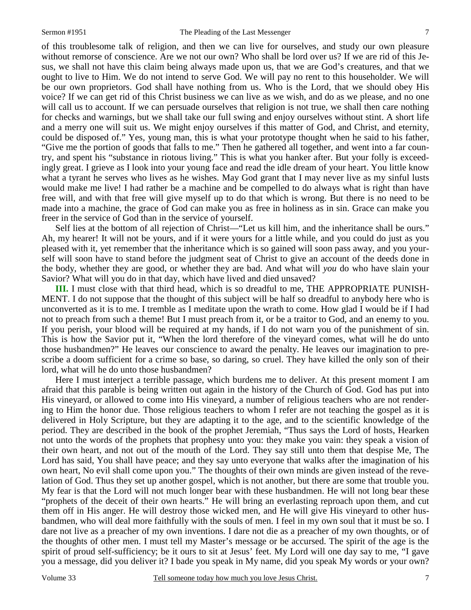of this troublesome talk of religion, and then we can live for ourselves, and study our own pleasure without remorse of conscience. Are we not our own? Who shall be lord over us? If we are rid of this Jesus, we shall not have this claim being always made upon us, that we are God's creatures, and that we ought to live to Him. We do not intend to serve God. We will pay no rent to this householder. We will be our own proprietors. God shall have nothing from us. Who is the Lord, that we should obey His voice? If we can get rid of this Christ business we can live as we wish, and do as we please, and no one will call us to account. If we can persuade ourselves that religion is not true, we shall then care nothing for checks and warnings, but we shall take our full swing and enjoy ourselves without stint. A short life and a merry one will suit us. We might enjoy ourselves if this matter of God, and Christ, and eternity, could be disposed of." Yes, young man, this is what your prototype thought when he said to his father, "Give me the portion of goods that falls to me." Then he gathered all together, and went into a far country, and spent his "substance in riotous living." This is what you hanker after. But your folly is exceedingly great. I grieve as I look into your young face and read the idle dream of your heart. You little know what a tyrant he serves who lives as he wishes. May God grant that I may never live as my sinful lusts would make me live! I had rather be a machine and be compelled to do always what is right than have free will, and with that free will give myself up to do that which is wrong. But there is no need to be made into a machine, the grace of God can make you as free in holiness as in sin. Grace can make you freer in the service of God than in the service of yourself.

Self lies at the bottom of all rejection of Christ—"Let us kill him, and the inheritance shall be ours." Ah, my hearer! It will not be yours, and if it were yours for a little while, and you could do just as you pleased with it, yet remember that the inheritance which is so gained will soon pass away, and you yourself will soon have to stand before the judgment seat of Christ to give an account of the deeds done in the body, whether they are good, or whether they are bad. And what will *you* do who have slain your Savior? What will you do in that day, which have lived and died unsaved?

**III.** I must close with that third head, which is so dreadful to me, THE APPROPRIATE PUNISH-MENT. I do not suppose that the thought of this subject will be half so dreadful to anybody here who is unconverted as it is to me. I tremble as I meditate upon the wrath to come. How glad I would be if I had not to preach from such a theme! But I must preach from it, or be a traitor to God, and an enemy to you. If you perish, your blood will be required at my hands, if I do not warn you of the punishment of sin. This is how the Savior put it, "When the lord therefore of the vineyard comes, what will he do unto those husbandmen?" He leaves our conscience to award the penalty. He leaves our imagination to prescribe a doom sufficient for a crime so base, so daring, so cruel. They have killed the only son of their lord, what will he do unto those husbandmen?

Here I must interject a terrible passage, which burdens me to deliver. At this present moment I am afraid that this parable is being written out again in the history of the Church of God. God has put into His vineyard, or allowed to come into His vineyard, a number of religious teachers who are not rendering to Him the honor due. Those religious teachers to whom I refer are not teaching the gospel as it is delivered in Holy Scripture, but they are adapting it to the age, and to the scientific knowledge of the period. They are described in the book of the prophet Jeremiah, "Thus says the Lord of hosts, Hearken not unto the words of the prophets that prophesy unto you: they make you vain: they speak a vision of their own heart, and not out of the mouth of the Lord. They say still unto them that despise Me, The Lord has said, You shall have peace; and they say unto everyone that walks after the imagination of his own heart, No evil shall come upon you." The thoughts of their own minds are given instead of the revelation of God. Thus they set up another gospel, which is not another, but there are some that trouble you. My fear is that the Lord will not much longer bear with these husbandmen. He will not long bear these "prophets of the deceit of their own hearts." He will bring an everlasting reproach upon them, and cut them off in His anger. He will destroy those wicked men, and He will give His vineyard to other husbandmen, who will deal more faithfully with the souls of men. I feel in my own soul that it must be so. I dare not live as a preacher of my own inventions. I dare not die as a preacher of my own thoughts, or of the thoughts of other men. I must tell my Master's message or be accursed. The spirit of the age is the spirit of proud self-sufficiency; be it ours to sit at Jesus' feet. My Lord will one day say to me, "I gave you a message, did you deliver it? I bade you speak in My name, did you speak My words or your own?